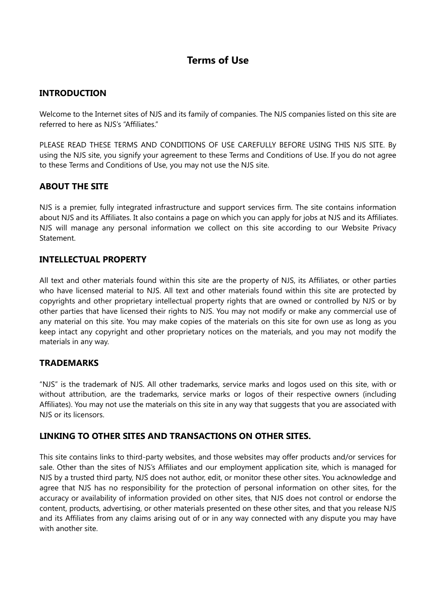# **Terms of Use**

# **INTRODUCTION**

Welcome to the Internet sites of NJS and its family of companies. The NJS companies listed on this site are referred to here as NJS's "Affiliates."

PLEASE READ THESE TERMS AND CONDITIONS OF USE CAREFULLY BEFORE USING THIS NJS SITE. By using the NJS site, you signify your agreement to these Terms and Conditions of Use. If you do not agree to these Terms and Conditions of Use, you may not use the NJS site.

# **ABOUT THE SITE**

NJS is a premier, fully integrated infrastructure and support services firm. The site contains information about NJS and its Affiliates. It also contains a page on which you can apply for jobs at NJS and its Affiliates. NJS will manage any personal information we collect on this site according to our Website Privacy Statement.

## **INTELLECTUAL PROPERTY**

All text and other materials found within this site are the property of NJS, its Affiliates, or other parties who have licensed material to NJS. All text and other materials found within this site are protected by copyrights and other proprietary intellectual property rights that are owned or controlled by NJS or by other parties that have licensed their rights to NJS. You may not modify or make any commercial use of any material on this site. You may make copies of the materials on this site for own use as long as you keep intact any copyright and other proprietary notices on the materials, and you may not modify the materials in any way.

#### **TRADEMARKS**

"NJS" is the trademark of NJS. All other trademarks, service marks and logos used on this site, with or without attribution, are the trademarks, service marks or logos of their respective owners (including Affiliates). You may not use the materials on this site in any way that suggests that you are associated with NJS or its licensors.

# **LINKING TO OTHER SITES AND TRANSACTIONS ON OTHER SITES.**

This site contains links to third-party websites, and those websites may offer products and/or services for sale. Other than the sites of NJS's Affiliates and our employment application site, which is managed for NJS by a trusted third party, NJS does not author, edit, or monitor these other sites. You acknowledge and agree that NJS has no responsibility for the protection of personal information on other sites, for the accuracy or availability of information provided on other sites, that NJS does not control or endorse the content, products, advertising, or other materials presented on these other sites, and that you release NJS and its Affiliates from any claims arising out of or in any way connected with any dispute you may have with another site.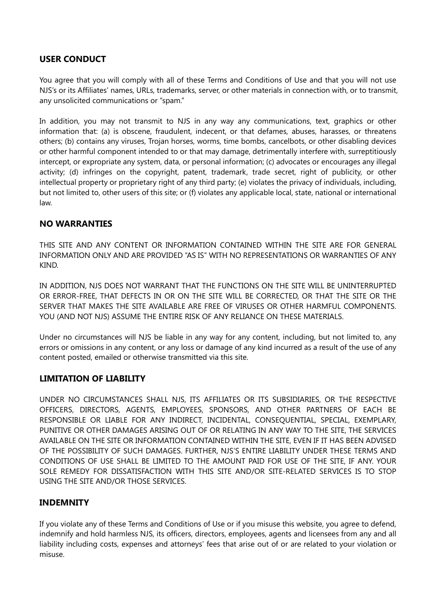## **USER CONDUCT**

You agree that you will comply with all of these Terms and Conditions of Use and that you will not use NJS's or its Affiliates' names, URLs, trademarks, server, or other materials in connection with, or to transmit, any unsolicited communications or "spam."

In addition, you may not transmit to NJS in any way any communications, text, graphics or other information that: (a) is obscene, fraudulent, indecent, or that defames, abuses, harasses, or threatens others; (b) contains any viruses, Trojan horses, worms, time bombs, cancelbots, or other disabling devices or other harmful component intended to or that may damage, detrimentally interfere with, surreptitiously intercept, or expropriate any system, data, or personal information; (c) advocates or encourages any illegal activity; (d) infringes on the copyright, patent, trademark, trade secret, right of publicity, or other intellectual property or proprietary right of any third party; (e) violates the privacy of individuals, including, but not limited to, other users of this site; or (f) violates any applicable local, state, national or international law.

#### **NO WARRANTIES**

THIS SITE AND ANY CONTENT OR INFORMATION CONTAINED WITHIN THE SITE ARE FOR GENERAL INFORMATION ONLY AND ARE PROVIDED "AS IS" WITH NO REPRESENTATIONS OR WARRANTIES OF ANY KIND.

IN ADDITION, NJS DOES NOT WARRANT THAT THE FUNCTIONS ON THE SITE WILL BE UNINTERRUPTED OR ERROR-FREE, THAT DEFECTS IN OR ON THE SITE WILL BE CORRECTED, OR THAT THE SITE OR THE SERVER THAT MAKES THE SITE AVAILABLE ARE FREE OF VIRUSES OR OTHER HARMFUL COMPONENTS. YOU (AND NOT NJS) ASSUME THE ENTIRE RISK OF ANY RELIANCE ON THESE MATERIALS.

Under no circumstances will NJS be liable in any way for any content, including, but not limited to, any errors or omissions in any content, or any loss or damage of any kind incurred as a result of the use of any content posted, emailed or otherwise transmitted via this site.

#### **LIMITATION OF LIABILITY**

UNDER NO CIRCUMSTANCES SHALL NJS, ITS AFFILIATES OR ITS SUBSIDIARIES, OR THE RESPECTIVE OFFICERS, DIRECTORS, AGENTS, EMPLOYEES, SPONSORS, AND OTHER PARTNERS OF EACH BE RESPONSIBLE OR LIABLE FOR ANY INDIRECT, INCIDENTAL, CONSEQUENTIAL, SPECIAL, EXEMPLARY, PUNITIVE OR OTHER DAMAGES ARISING OUT OF OR RELATING IN ANY WAY TO THE SITE, THE SERVICES AVAILABLE ON THE SITE OR INFORMATION CONTAINED WITHIN THE SITE, EVEN IF IT HAS BEEN ADVISED OF THE POSSIBILITY OF SUCH DAMAGES. FURTHER, NJS'S ENTIRE LIABILITY UNDER THESE TERMS AND CONDITIONS OF USE SHALL BE LIMITED TO THE AMOUNT PAID FOR USE OF THE SITE, IF ANY. YOUR SOLE REMEDY FOR DISSATISFACTION WITH THIS SITE AND/OR SITE-RELATED SERVICES IS TO STOP USING THE SITE AND/OR THOSE SERVICES.

#### **INDEMNITY**

If you violate any of these Terms and Conditions of Use or if you misuse this website, you agree to defend, indemnify and hold harmless NJS, its officers, directors, employees, agents and licensees from any and all liability including costs, expenses and attorneys' fees that arise out of or are related to your violation or misuse.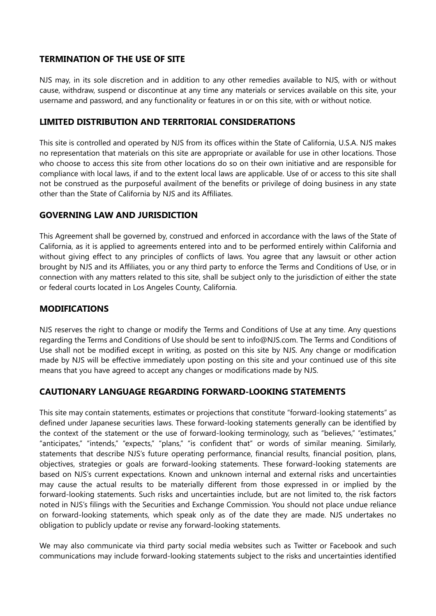## **TERMINATION OF THE USE OF SITE**

NJS may, in its sole discretion and in addition to any other remedies available to NJS, with or without cause, withdraw, suspend or discontinue at any time any materials or services available on this site, your username and password, and any functionality or features in or on this site, with or without notice.

## **LIMITED DISTRIBUTION AND TERRITORIAL CONSIDERATIONS**

This site is controlled and operated by NJS from its offices within the State of California, U.S.A. NJS makes no representation that materials on this site are appropriate or available for use in other locations. Those who choose to access this site from other locations do so on their own initiative and are responsible for compliance with local laws, if and to the extent local laws are applicable. Use of or access to this site shall not be construed as the purposeful availment of the benefits or privilege of doing business in any state other than the State of California by NJS and its Affiliates.

#### **GOVERNING LAW AND JURISDICTION**

This Agreement shall be governed by, construed and enforced in accordance with the laws of the State of California, as it is applied to agreements entered into and to be performed entirely within California and without giving effect to any principles of conflicts of laws. You agree that any lawsuit or other action brought by NJS and its Affiliates, you or any third party to enforce the Terms and Conditions of Use, or in connection with any matters related to this site, shall be subject only to the jurisdiction of either the state or federal courts located in Los Angeles County, California.

## **MODIFICATIONS**

NJS reserves the right to change or modify the Terms and Conditions of Use at any time. Any questions regarding the Terms and Conditions of Use should be sent to info@NJS.com. The Terms and Conditions of Use shall not be modified except in writing, as posted on this site by NJS. Any change or modification made by NJS will be effective immediately upon posting on this site and your continued use of this site means that you have agreed to accept any changes or modifications made by NJS.

#### **CAUTIONARY LANGUAGE REGARDING FORWARD-LOOKING STATEMENTS**

This site may contain statements, estimates or projections that constitute "forward-looking statements" as defined under Japanese securities laws. These forward-looking statements generally can be identified by the context of the statement or the use of forward-looking terminology, such as "believes," "estimates," "anticipates," "intends," "expects," "plans," "is confident that" or words of similar meaning. Similarly, statements that describe NJS's future operating performance, financial results, financial position, plans, objectives, strategies or goals are forward-looking statements. These forward-looking statements are based on NJS's current expectations. Known and unknown internal and external risks and uncertainties may cause the actual results to be materially different from those expressed in or implied by the forward-looking statements. Such risks and uncertainties include, but are not limited to, the risk factors noted in NJS's filings with the Securities and Exchange Commission. You should not place undue reliance on forward-looking statements, which speak only as of the date they are made. NJS undertakes no obligation to publicly update or revise any forward-looking statements.

We may also communicate via third party social media websites such as Twitter or Facebook and such communications may include forward-looking statements subject to the risks and uncertainties identified